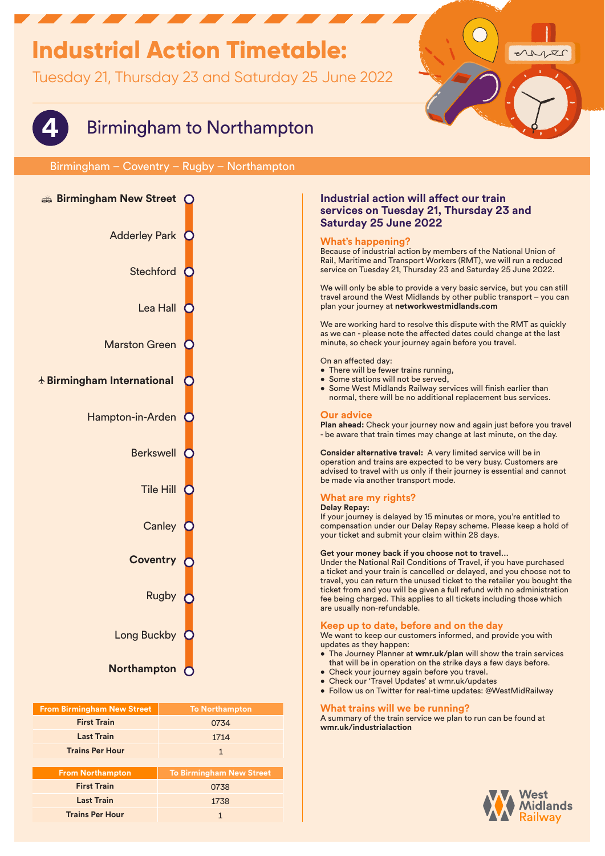## **Industrial Action Timetable:**

**From Northampton To Birmingham New Street First TrainLast TrainTrains Per Hour**

**Trains Per Hour** 1 **1** 

Tuesday 21, Thursday 23 and Saturday 25 June 2022